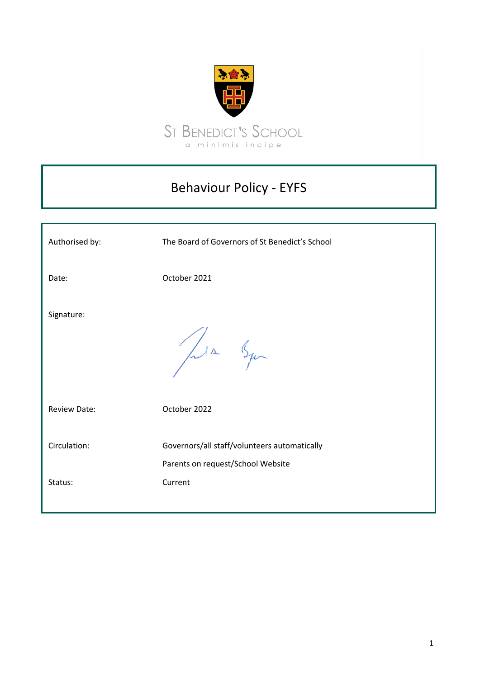

# Behaviour Policy - EYFS

| Authorised by:      | The Board of Governors of St Benedict's School                                    |
|---------------------|-----------------------------------------------------------------------------------|
| Date:               | October 2021                                                                      |
| Signature:          | Lin Syn                                                                           |
| <b>Review Date:</b> | October 2022                                                                      |
| Circulation:        | Governors/all staff/volunteers automatically<br>Parents on request/School Website |
| Status:             | Current                                                                           |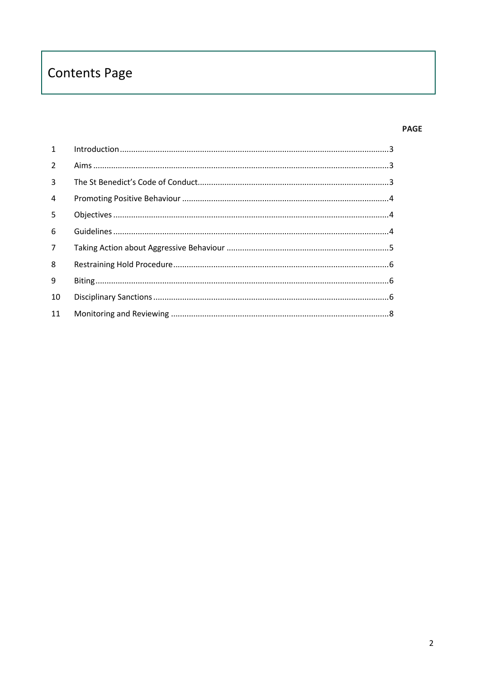# **Contents Page**

## **PAGE**

| $\mathbf{1}$   |  |
|----------------|--|
| $\overline{2}$ |  |
| 3              |  |
| $\overline{4}$ |  |
| 5              |  |
| 6              |  |
| $\overline{7}$ |  |
| 8              |  |
| 9              |  |
| 10             |  |
| 11             |  |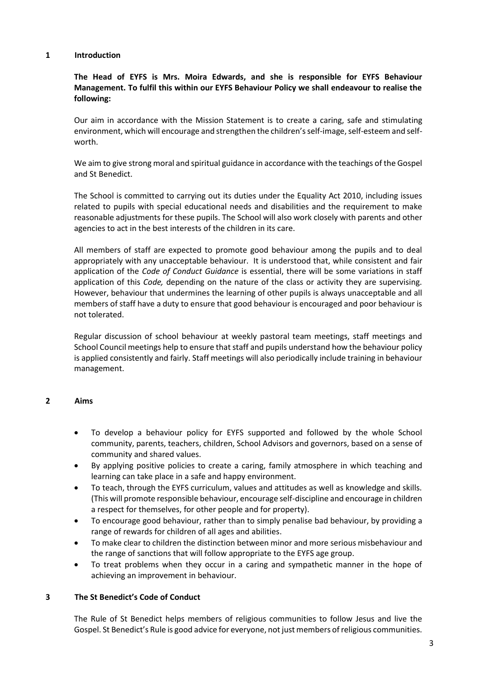#### <span id="page-2-0"></span>**1 Introduction**

## **The Head of EYFS is Mrs. Moira Edwards, and she is responsible for EYFS Behaviour Management. To fulfil this within our EYFS Behaviour Policy we shall endeavour to realise the following:**

Our aim in accordance with the Mission Statement is to create a caring, safe and stimulating environment, which will encourage and strengthen the children's self-image, self-esteem and selfworth.

We aim to give strong moral and spiritual guidance in accordance with the teachings of the Gospel and St Benedict.

The School is committed to carrying out its duties under the Equality Act 2010, including issues related to pupils with special educational needs and disabilities and the requirement to make reasonable adjustments for these pupils. The School will also work closely with parents and other agencies to act in the best interests of the children in its care.

All members of staff are expected to promote good behaviour among the pupils and to deal appropriately with any unacceptable behaviour. It is understood that, while consistent and fair application of the *Code of Conduct Guidance* is essential, there will be some variations in staff application of this *Code,* depending on the nature of the class or activity they are supervising. However, behaviour that undermines the learning of other pupils is always unacceptable and all members of staff have a duty to ensure that good behaviour is encouraged and poor behaviour is not tolerated.

Regular discussion of school behaviour at weekly pastoral team meetings, staff meetings and School Council meetings help to ensure that staff and pupils understand how the behaviour policy is applied consistently and fairly. Staff meetings will also periodically include training in behaviour management.

## <span id="page-2-1"></span>**2 Aims**

- To develop a behaviour policy for EYFS supported and followed by the whole School community, parents, teachers, children, School Advisors and governors, based on a sense of community and shared values.
- By applying positive policies to create a caring, family atmosphere in which teaching and learning can take place in a safe and happy environment.
- To teach, through the EYFS curriculum, values and attitudes as well as knowledge and skills. (This will promote responsible behaviour, encourage self-discipline and encourage in children a respect for themselves, for other people and for property).
- To encourage good behaviour, rather than to simply penalise bad behaviour, by providing a range of rewards for children of all ages and abilities.
- To make clear to children the distinction between minor and more serious misbehaviour and the range of sanctions that will follow appropriate to the EYFS age group.
- To treat problems when they occur in a caring and sympathetic manner in the hope of achieving an improvement in behaviour.

#### <span id="page-2-2"></span>**3 The St Benedict's Code of Conduct**

The Rule of St Benedict helps members of religious communities to follow Jesus and live the Gospel. St Benedict's Rule is good advice for everyone, not just members of religious communities.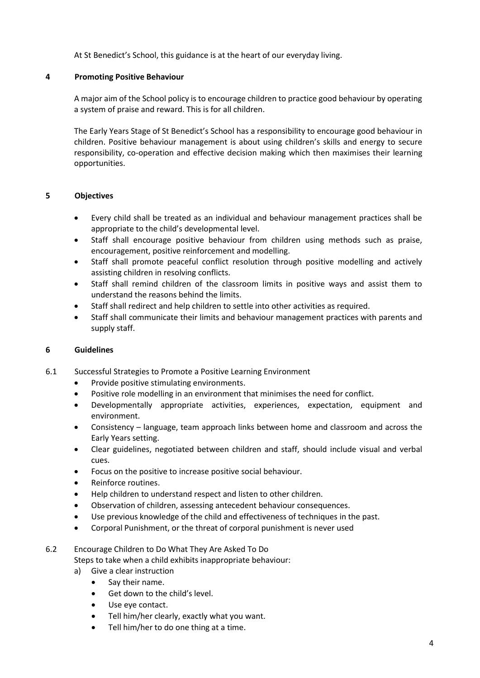At St Benedict's School, this guidance is at the heart of our everyday living.

### <span id="page-3-0"></span>**4 Promoting Positive Behaviour**

A major aim of the School policy is to encourage children to practice good behaviour by operating a system of praise and reward. This is for all children.

The Early Years Stage of St Benedict's School has a responsibility to encourage good behaviour in children. Positive behaviour management is about using children's skills and energy to secure responsibility, co-operation and effective decision making which then maximises their learning opportunities.

## <span id="page-3-1"></span>**5 Objectives**

- Every child shall be treated as an individual and behaviour management practices shall be appropriate to the child's developmental level.
- Staff shall encourage positive behaviour from children using methods such as praise, encouragement, positive reinforcement and modelling.
- Staff shall promote peaceful conflict resolution through positive modelling and actively assisting children in resolving conflicts.
- Staff shall remind children of the classroom limits in positive ways and assist them to understand the reasons behind the limits.
- Staff shall redirect and help children to settle into other activities as required.
- Staff shall communicate their limits and behaviour management practices with parents and supply staff.

#### <span id="page-3-2"></span>**6 Guidelines**

- 6.1 Successful Strategies to Promote a Positive Learning Environment
	- Provide positive stimulating environments.
	- Positive role modelling in an environment that minimises the need for conflict.
	- Developmentally appropriate activities, experiences, expectation, equipment and environment.
	- Consistency language, team approach links between home and classroom and across the Early Years setting.
	- Clear guidelines, negotiated between children and staff, should include visual and verbal cues.
	- Focus on the positive to increase positive social behaviour.
	- Reinforce routines.
	- Help children to understand respect and listen to other children.
	- Observation of children, assessing antecedent behaviour consequences.
	- Use previous knowledge of the child and effectiveness of techniques in the past.
	- Corporal Punishment, or the threat of corporal punishment is never used

#### 6.2 Encourage Children to Do What They Are Asked To Do

Steps to take when a child exhibits inappropriate behaviour:

- a) Give a clear instruction
	- Say their name.
	- Get down to the child's level.
	- Use eye contact.
	- Tell him/her clearly, exactly what you want.
	- Tell him/her to do one thing at a time.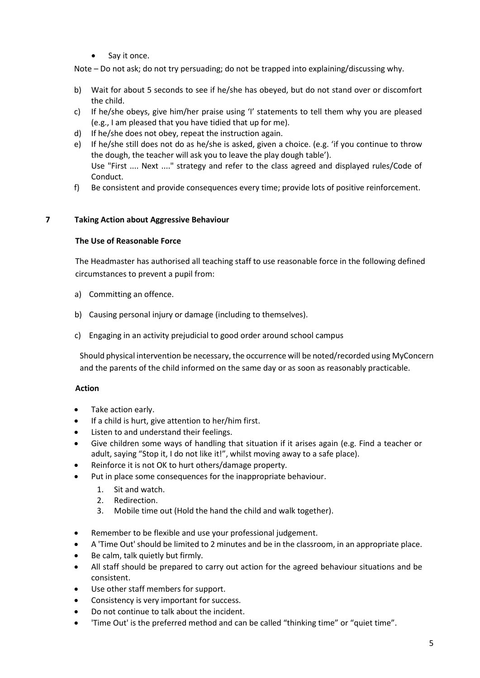Say it once.

Note – Do not ask; do not try persuading; do not be trapped into explaining/discussing why.

- b) Wait for about 5 seconds to see if he/she has obeyed, but do not stand over or discomfort the child.
- c) If he/she obeys, give him/her praise using 'I' statements to tell them why you are pleased (e.g., I am pleased that you have tidied that up for me).
- d) If he/she does not obey, repeat the instruction again.
- e) If he/she still does not do as he/she is asked, given a choice. (e.g. 'if you continue to throw the dough, the teacher will ask you to leave the play dough table'). Use "First .... Next ...." strategy and refer to the class agreed and displayed rules/Code of Conduct.
- f) Be consistent and provide consequences every time; provide lots of positive reinforcement.

## <span id="page-4-0"></span>**7 Taking Action about Aggressive Behaviour**

### **The Use of Reasonable Force**

The Headmaster has authorised all teaching staff to use reasonable force in the following defined circumstances to prevent a pupil from:

- a) Committing an offence.
- b) Causing personal injury or damage (including to themselves).
- c) Engaging in an activity prejudicial to good order around school campus

Should physical intervention be necessary, the occurrence will be noted/recorded using MyConcern and the parents of the child informed on the same day or as soon as reasonably practicable.

## **Action**

- Take action early.
- If a child is hurt, give attention to her/him first.
- Listen to and understand their feelings.
- Give children some ways of handling that situation if it arises again (e.g. Find a teacher or adult, saying "Stop it, I do not like it!", whilst moving away to a safe place).
- Reinforce it is not OK to hurt others/damage property.
- Put in place some consequences for the inappropriate behaviour.
	- 1. Sit and watch.
	- 2. Redirection.
	- 3. Mobile time out (Hold the hand the child and walk together).
- Remember to be flexible and use your professional judgement.
- A 'Time Out' should be limited to 2 minutes and be in the classroom, in an appropriate place.
- Be calm, talk quietly but firmly.
- All staff should be prepared to carry out action for the agreed behaviour situations and be consistent.
- Use other staff members for support.
- Consistency is very important for success.
- Do not continue to talk about the incident.
- 'Time Out' is the preferred method and can be called "thinking time" or "quiet time".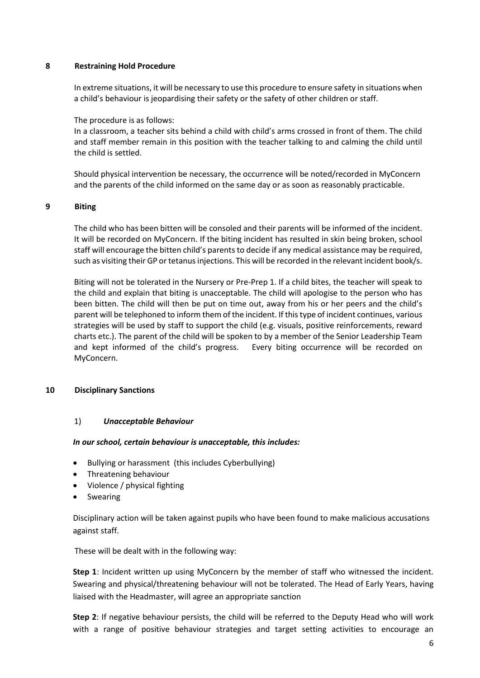#### <span id="page-5-0"></span>**8 Restraining Hold Procedure**

In extreme situations, it will be necessary to use this procedure to ensure safety in situations when a child's behaviour is jeopardising their safety or the safety of other children or staff.

The procedure is as follows:

In a classroom, a teacher sits behind a child with child's arms crossed in front of them. The child and staff member remain in this position with the teacher talking to and calming the child until the child is settled.

Should physical intervention be necessary, the occurrence will be noted/recorded in MyConcern and the parents of the child informed on the same day or as soon as reasonably practicable.

### <span id="page-5-1"></span>**9 Biting**

The child who has been bitten will be consoled and their parents will be informed of the incident. It will be recorded on MyConcern. If the biting incident has resulted in skin being broken, school staff will encourage the bitten child's parents to decide if any medical assistance may be required, such as visiting their GP or tetanus injections. This will be recorded in the relevant incident book/s.

Biting will not be tolerated in the Nursery or Pre-Prep 1. If a child bites, the teacher will speak to the child and explain that biting is unacceptable. The child will apologise to the person who has been bitten. The child will then be put on time out, away from his or her peers and the child's parent will be telephoned to inform them of the incident. If this type of incident continues, various strategies will be used by staff to support the child (e.g. visuals, positive reinforcements, reward charts etc.). The parent of the child will be spoken to by a member of the Senior Leadership Team and kept informed of the child's progress. Every biting occurrence will be recorded on MyConcern.

## <span id="page-5-2"></span>**10 Disciplinary Sanctions**

#### 1) *Unacceptable Behaviour*

#### *In our school, certain behaviour is unacceptable, this includes:*

- Bullying or harassment (this includes Cyberbullying)
- Threatening behaviour
- Violence / physical fighting
- Swearing

Disciplinary action will be taken against pupils who have been found to make malicious accusations against staff.

These will be dealt with in the following way:

**Step 1**: Incident written up using MyConcern by the member of staff who witnessed the incident. Swearing and physical/threatening behaviour will not be tolerated. The Head of Early Years, having liaised with the Headmaster, will agree an appropriate sanction

**Step 2**: If negative behaviour persists, the child will be referred to the Deputy Head who will work with a range of positive behaviour strategies and target setting activities to encourage an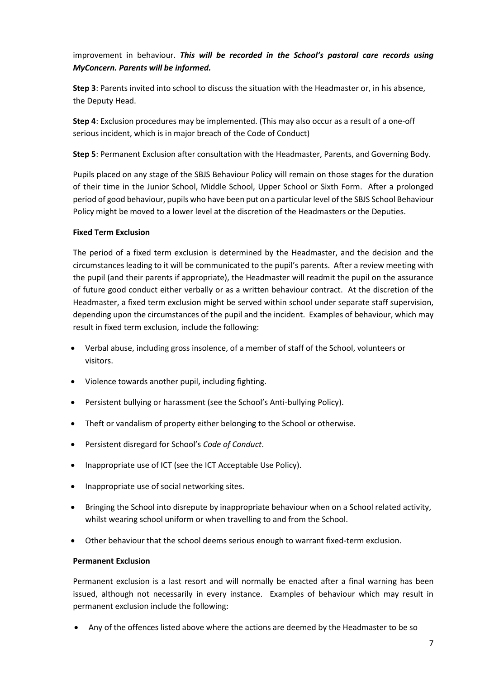## improvement in behaviour. *This will be recorded in the School's pastoral care records using MyConcern. Parents will be informed.*

**Step 3**: Parents invited into school to discuss the situation with the Headmaster or, in his absence, the Deputy Head.

**Step 4**: Exclusion procedures may be implemented. (This may also occur as a result of a one-off serious incident, which is in major breach of the Code of Conduct)

**Step 5**: Permanent Exclusion after consultation with the Headmaster, Parents, and Governing Body.

Pupils placed on any stage of the SBJS Behaviour Policy will remain on those stages for the duration of their time in the Junior School, Middle School, Upper School or Sixth Form. After a prolonged period of good behaviour, pupils who have been put on a particular level of the SBJS School Behaviour Policy might be moved to a lower level at the discretion of the Headmasters or the Deputies.

#### **Fixed Term Exclusion**

The period of a fixed term exclusion is determined by the Headmaster, and the decision and the circumstances leading to it will be communicated to the pupil's parents. After a review meeting with the pupil (and their parents if appropriate), the Headmaster will readmit the pupil on the assurance of future good conduct either verbally or as a written behaviour contract. At the discretion of the Headmaster, a fixed term exclusion might be served within school under separate staff supervision, depending upon the circumstances of the pupil and the incident. Examples of behaviour, which may result in fixed term exclusion, include the following:

- Verbal abuse, including gross insolence, of a member of staff of the School, volunteers or visitors.
- Violence towards another pupil, including fighting.
- Persistent bullying or harassment (see the School's Anti-bullying Policy).
- Theft or vandalism of property either belonging to the School or otherwise.
- Persistent disregard for School's *Code of Conduct*.
- Inappropriate use of ICT (see the ICT Acceptable Use Policy).
- Inappropriate use of social networking sites.
- Bringing the School into disrepute by inappropriate behaviour when on a School related activity, whilst wearing school uniform or when travelling to and from the School.
- Other behaviour that the school deems serious enough to warrant fixed-term exclusion.

#### **Permanent Exclusion**

Permanent exclusion is a last resort and will normally be enacted after a final warning has been issued, although not necessarily in every instance. Examples of behaviour which may result in permanent exclusion include the following:

Any of the offences listed above where the actions are deemed by the Headmaster to be so